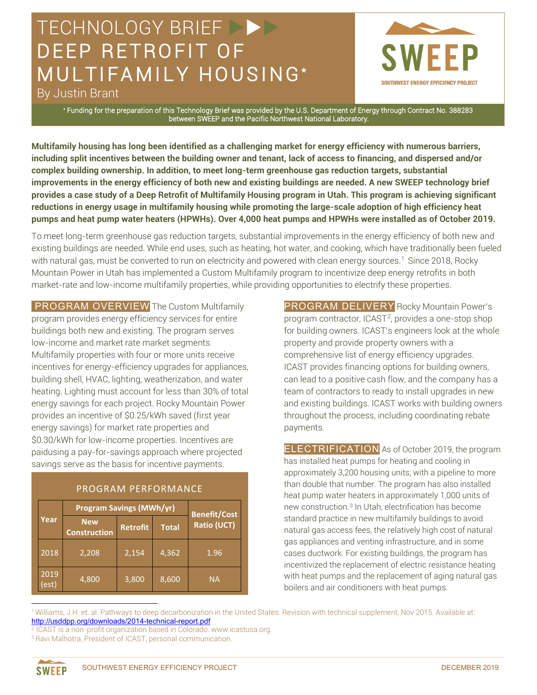## TECHNOLOGY BRIEF DEEP RETROFIT OF MULTIFAMILY HOUSING\*



By Justin Brant

\* Funding for the preparation of this Technology Brief was provided by the U.S. Department of Energy through Contract No. 388283 between SWEEP and the Pacific Northwest National Laboratory.

**Multifamily housing has long been identified as a challenging market for energy efficiency with numerous barriers, including split incentives between the building owner and tenant, lack of access to financing, and dispersed and/or complex building ownership. In addition, to meet long-term greenhouse gas reduction targets, substantial improvements in the energy efficiency of both new and existing buildings are needed. A new SWEEP technology brief provides a case study of a Deep Retrofit of Multifamily Housing program in Utah. This program is achieving significant reductions in energy usage in multifamily housing while promoting the large-scale adoption of high efficiency heat pumps and heat pump water heaters (HPWHs). Over 4,000 heat pumps and HPWHs were installed as of October 2019.** 

To meet long-term greenhouse gas reduction targets, substantial improvements in the energy efficiency of both new and existing buildings are needed. While end uses, such as heating, hot water, and cooking, which have traditionally been fueled with natural gas, must be converted to run on electricity and powered with clean energy sources.<sup>[1](#page-0-0)</sup> Since 2018, Rocky Mountain Power in Utah has implemented a Custom Multifamily program to incentivize deep energy retrofits in both market-rate and low-income multifamily properties, while providing opportunities to electrify these properties.

**PROGRAM OVERVIEW** The Custom Multifamily program provides energy efficiency services for entire buildings both new and existing. The program serves low-income and market rate market segments. Multifamily properties with four or more units receive incentives for energy-efficiency upgrades for appliances, building shell, HVAC, lighting, weatherization, and water heating. Lighting must account for less than 30% of total energy savings for each project. Rocky Mountain Power provides an incentive of \$0.25/kWh saved (first year energy savings) for market rate properties and \$0.30/kWh for low-income properties. Incentives are paidusing a pay-for-savings approach where projected savings serve as the basis for incentive payments.

|  | <b>PROGRAM PERFORMANCE,</b> |
|--|-----------------------------|
|  |                             |

| Year         | <b>Program Savings (MWh/yr)</b>   |                 |              | <b>Benefit/Cost</b> |
|--------------|-----------------------------------|-----------------|--------------|---------------------|
|              | <b>New</b><br><b>Construction</b> | <b>Retrofit</b> | <b>Total</b> | Ratio (UCT)         |
| 2018         | 2,208                             | 2,154           | 4,362        | 1.96                |
| 2019<br>est) | 4,800                             | 3,800           | 8,600        | <b>NA</b>           |

PROGRAM DELIVERY Rocky Mountain Power's program contractor, ICAST<sup>2</sup>, provides a one-stop shop for building owners. ICAST's engineers look at the whole property and provide property owners with a comprehensive list of energy efficiency upgrades. ICAST provides financing options for building owners, can lead to a positive cash flow, and the company has a team of contractors to ready to install upgrades in new and existing buildings. ICAST works with building owners throughout the process, including coordinating rebate payments.

ELECTRIFICATION As of October 2019, the program has installed heat pumps for heating and cooling in approximately 3,200 housing units, with a pipeline to more than double that number. The program has also installed heat pump water heaters in approximately 1,000 units of new construction.[3](#page-0-2) In Utah, electrification has become standard practice in new multifamily buildings to avoid natural gas access fees, the relatively high cost of natural gas appliances and venting infrastructure, and in some cases ductwork. For existing buildings, the program has incentivized the replacement of electric resistance heating with heat pumps and the replacement of aging natural gas boilers and air conditioners with heat pumps.

<span id="page-0-0"></span><sup>1</sup> Williams, J.H. et. al. Pathways to deep decarbonization in the United States. Revision with technical supplement, Nov 2015. Available at: <http://usddpp.org/downloads/2014-technical-report.pdf>

<span id="page-0-2"></span><span id="page-0-1"></span><sup>2</sup> ICAST is a non-profit organization based in Colorado. www.icastusa.org. <sup>3</sup> Ravi Malhotra, President of ICAST, personal communication.